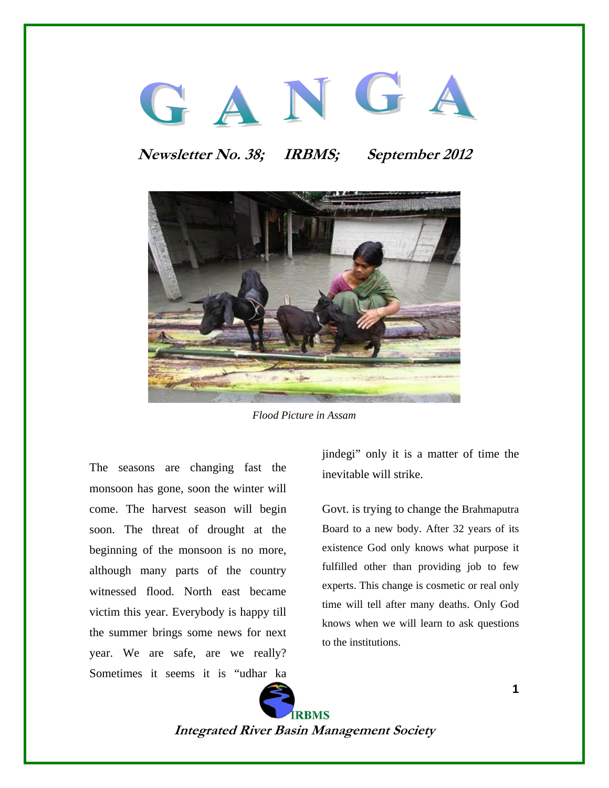# GANGA

# **Newsletter No. 38; IRBMS; September 2012**



*Flood Picture in Assam* 

The seasons are changing fast the monsoon has gone, soon the winter will come. The harvest season will begin soon. The threat of drought at the beginning of the monsoon is no more, although many parts of the country witnessed flood. North east became victim this year. Everybody is happy till the summer brings some news for next year. We are safe, are we really? Sometimes it seems it is "udhar ka

jindegi" only it is a matter of time the inevitable will strike.

Govt. is trying to change the Brahmaputra Board to a new body. After 32 years of its existence God only knows what purpose it fulfilled other than providing job to few experts. This change is cosmetic or real only time will tell after many deaths. Only God knows when we will learn to ask questions to the institutions.

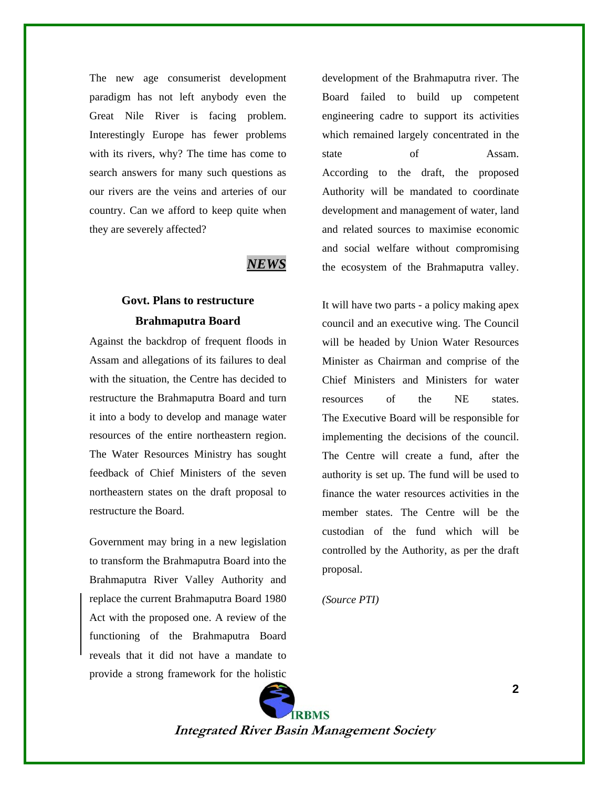The new age consumerist development paradigm has not left anybody even the Great Nile River is facing problem. Interestingly Europe has fewer problems with its rivers, why? The time has come to search answers for many such questions as our rivers are the veins and arteries of our country. Can we afford to keep quite when they are severely affected?

### *NEWS*

## **Govt. Plans to restructure Brahmaputra Board**

Against the backdrop of frequent floods in Assam and allegations of its failures to deal with the situation, the Centre has decided to restructure the Brahmaputra Board and turn it into a body to develop and manage water resources of the entire northeastern region. The Water Resources Ministry has sought feedback of Chief Ministers of the seven northeastern states on the draft proposal to restructure the Board.

Government may bring in a new legislation to transform the Brahmaputra Board into the Brahmaputra River Valley Authority and replace the current Brahmaputra Board 1980 Act with the proposed one. A review of the functioning of the Brahmaputra Board reveals that it did not have a mandate to provide a strong framework for the holistic

development of the Brahmaputra river. The Board failed to build up competent engineering cadre to support its activities which remained largely concentrated in the state of Assam. According to the draft, the proposed Authority will be mandated to coordinate development and management of water, land and related sources to maximise economic and social welfare without compromising the ecosystem of the Brahmaputra valley.

It will have two parts - a policy making apex council and an executive wing. The Council will be headed by Union Water Resources Minister as Chairman and comprise of the Chief Ministers and Ministers for water resources of the NE states. The Executive Board will be responsible for implementing the decisions of the council. The Centre will create a fund, after the authority is set up. The fund will be used to finance the water resources activities in the member states. The Centre will be the custodian of the fund which will be controlled by the Authority, as per the draft proposal.

*(Source PTI)* 

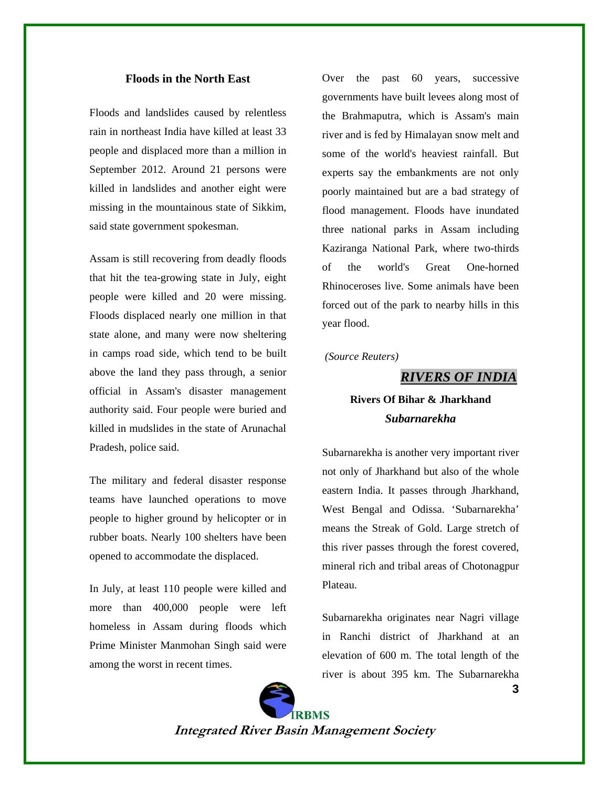#### **Floods in the North East**

Floods and landslides caused by relentless rain in northeast India have killed at least 33 people and displaced more than a million in September 2012. Around 21 persons were killed in landslides and another eight were missing in the mountainous state of Sikkim, said state government spokesman.

Assam is still recovering from deadly floods that hit the tea-growing state in July, eight people were killed and 20 were missing. Floods displaced nearly one million in that state alone, and many were now sheltering in camps road side, which tend to be built above the land they pass through, a senior official in Assam's disaster management authority said. Four people were buried and killed in mudslides in the state of Arunachal Pradesh, police said.

The military and federal disaster response teams have launched operations to move people to higher ground by helicopter or in rubber boats. Nearly 100 shelters have been opened to accommodate the displaced.

In July, at least 110 people were killed and more than 400,000 people were left homeless in Assam during floods which Prime Minister Manmohan Singh said were among the worst in recent times.

Over the past 60 years, successive governments have built levees along most of the Brahmaputra, which is Assam's main river and is fed by Himalayan snow melt and some of the world's heaviest rainfall. But experts say the embankments are not only poorly maintained but are a bad strategy of flood management. Floods have inundated three national parks in Assam including Kaziranga National Park, where two-thirds of the world's Great One-horned Rhinoceroses live. Some animals have been forced out of the park to nearby hills in this year flood.

 *(Source Reuters)* 

*RIVERS OF INDIA*

## **Rivers Of Bihar & Jharkhand**  *Subarnarekha*

Subarnarekha is another very important river not only of Jharkhand but also of the whole eastern India. It passes through Jharkhand, West Bengal and Odissa. 'Subarnarekha' means the Streak of Gold. Large stretch of this river passes through the forest covered, mineral rich and tribal areas of Chotonagpur Plateau.

Subarnarekha originates near Nagri village in Ranchi district of Jharkhand at an elevation of 600 m. The total length of the river is about 395 km. The Subarnarekha



**Integrated River Basin Management Society** 

**3**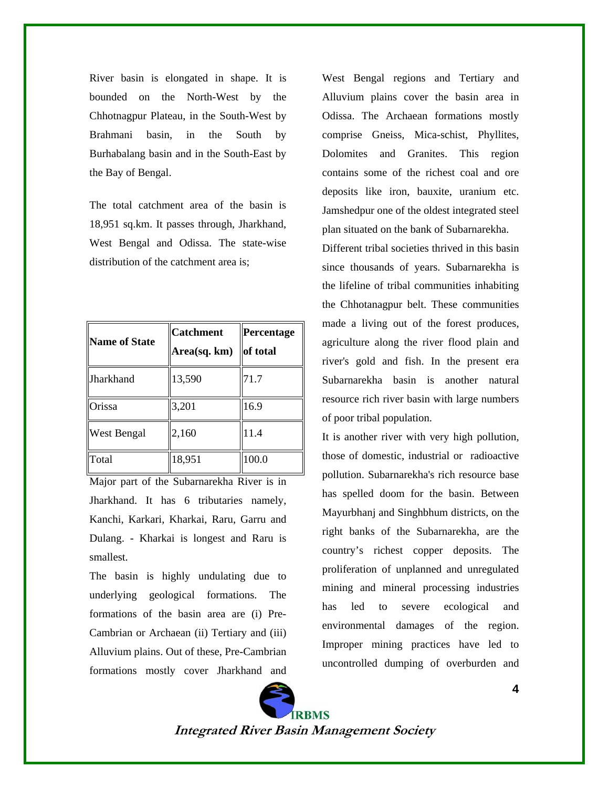River basin is elongated in shape. It is bounded on the North-West by the Chhotnagpur Plateau, in the South-West by Brahmani basin, in the South by Burhabalang basin and in the South-East by the Bay of Bengal.

The total catchment area of the basin is 18,951 sq.km. It passes through, Jharkhand, West Bengal and Odissa. The state-wise distribution of the catchment area is;

| <b>Name of State</b> | <b>Catchment</b><br>Area(sq. km) | Percentage<br>of total |
|----------------------|----------------------------------|------------------------|
| Jharkhand            | 13,590                           | 71.7                   |
| Orissa               | 3,201                            | 16.9                   |
| West Bengal          | 2,160                            | 11.4                   |
| Total                | 18,951                           | 100.0                  |

Major part of the Subarnarekha River is in Jharkhand. It has 6 tributaries namely, Kanchi, Karkari, Kharkai, Raru, Garru and Dulang. - Kharkai is longest and Raru is smallest.

The basin is highly undulating due to underlying geological formations. The formations of the basin area are (i) Pre-Cambrian or Archaean (ii) Tertiary and (iii) Alluvium plains. Out of these, Pre-Cambrian formations mostly cover Jharkhand and

West Bengal regions and Tertiary and Alluvium plains cover the basin area in Odissa. The Archaean formations mostly comprise Gneiss, Mica-schist, Phyllites, Dolomites and Granites. This region contains some of the richest coal and ore deposits like iron, bauxite, uranium etc. Jamshedpur one of the oldest integrated steel plan situated on the bank of Subarnarekha. Different tribal societies thrived in this basin since thousands of years. Subarnarekha is the lifeline of tribal communities inhabiting the Chhotanagpur belt. These communities made a living out of the forest produces, agriculture along the river flood plain and river's gold and fish. In the present era Subarnarekha basin is another natural resource rich river basin with large numbers of poor tribal population.

It is another river with very high pollution, those of domestic, industrial or radioactive pollution. Subarnarekha's rich resource base has spelled doom for the basin. Between Mayurbhanj and Singhbhum districts, on the right banks of the Subarnarekha, are the country's richest copper deposits. The proliferation of unplanned and unregulated mining and mineral processing industries has led to severe ecological and environmental damages of the region. Improper mining practices have led to uncontrolled dumping of overburden and

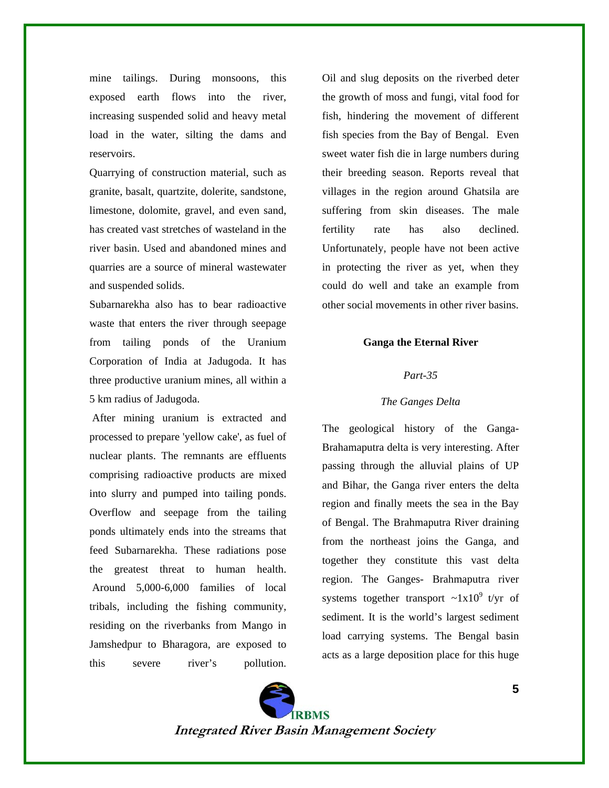mine tailings. During monsoons, this exposed earth flows into the river, increasing suspended solid and heavy metal load in the water, silting the dams and reservoirs.

Quarrying of construction material, such as granite, basalt, quartzite, dolerite, sandstone, limestone, dolomite, gravel, and even sand, has created vast stretches of wasteland in the river basin. Used and abandoned mines and quarries are a source of mineral wastewater and suspended solids.

Subarnarekha also has to bear radioactive waste that enters the river through seepage from tailing ponds of the Uranium Corporation of India at Jadugoda. It has three productive uranium mines, all within a 5 km radius of Jadugoda.

 After mining uranium is extracted and processed to prepare 'yellow cake', as fuel of nuclear plants. The remnants are effluents comprising radioactive products are mixed into slurry and pumped into tailing ponds. Overflow and seepage from the tailing ponds ultimately ends into the streams that feed Subarnarekha. These radiations pose the greatest threat to human health. Around 5,000-6,000 families of local tribals, including the fishing community, residing on the riverbanks from Mango in Jamshedpur to Bharagora, are exposed to this severe river's pollution. Oil and slug deposits on the riverbed deter the growth of moss and fungi, vital food for fish, hindering the movement of different fish species from the Bay of Bengal. Even sweet water fish die in large numbers during their breeding season. Reports reveal that villages in the region around Ghatsila are suffering from skin diseases. The male fertility rate has also declined. Unfortunately, people have not been active in protecting the river as yet, when they could do well and take an example from other social movements in other river basins.

#### **Ganga the Eternal River**

#### *Part-35*

#### *The Ganges Delta*

The geological history of the Ganga-Brahamaputra delta is very interesting. After passing through the alluvial plains of UP and Bihar, the Ganga river enters the delta region and finally meets the sea in the Bay of Bengal. The Brahmaputra River draining from the northeast joins the Ganga, and together they constitute this vast delta region. The Ganges- Brahmaputra river systems together transport  $\sim 1x10^9$  t/yr of sediment. It is the world's largest sediment load carrying systems. The Bengal basin acts as a large deposition place for this huge

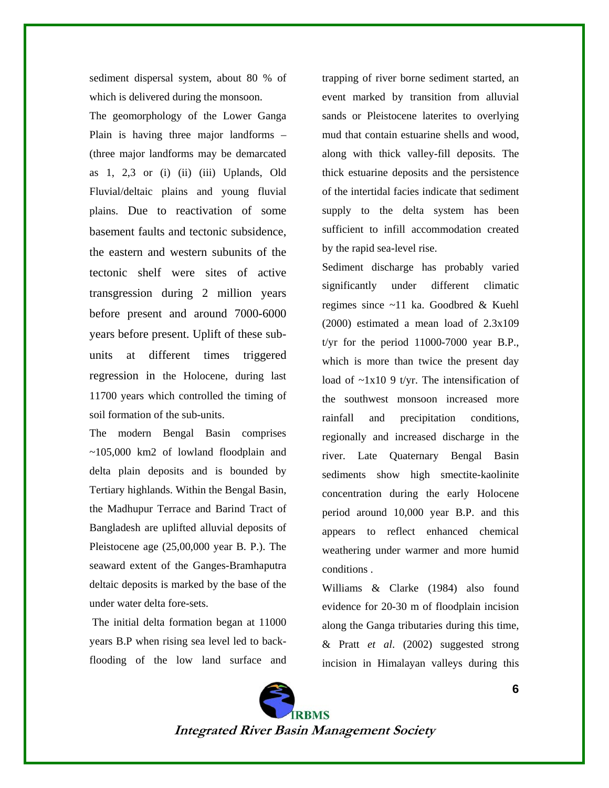sediment dispersal system, about 80 % of which is delivered during the monsoon.

The geomorphology of the Lower Ganga Plain is having three major landforms – (three major landforms may be demarcated as  $1, 2,3$  or (i) (ii) (iii) Uplands, Old Fluvial/deltaic plains and young fluvial plains. Due to reactivation of some basement faults and tectonic subsidence, the eastern and western subunits of the tectonic shelf were sites of active transgression during 2 million years before present and around 7000-6000 years before present. Uplift of these subunits at different times triggered regression in the Holocene, during last 11700 years which controlled the timing of soil formation of the sub-units.

The modern Bengal Basin comprises ~105,000 km2 of lowland floodplain and delta plain deposits and is bounded by Tertiary highlands. Within the Bengal Basin, the Madhupur Terrace and Barind Tract of Bangladesh are uplifted alluvial deposits of Pleistocene age (25,00,000 year B. P.). The seaward extent of the Ganges-Bramhaputra deltaic deposits is marked by the base of the under water delta fore-sets.

 The initial delta formation began at 11000 years B.P when rising sea level led to backflooding of the low land surface and trapping of river borne sediment started, an event marked by transition from alluvial sands or Pleistocene laterites to overlying mud that contain estuarine shells and wood, along with thick valley-fill deposits. The thick estuarine deposits and the persistence of the intertidal facies indicate that sediment supply to the delta system has been sufficient to infill accommodation created by the rapid sea-level rise.

Sediment discharge has probably varied significantly under different climatic regimes since ~11 ka. Goodbred & Kuehl (2000) estimated a mean load of 2.3x109 t/yr for the period  $11000-7000$  year B.P., which is more than twice the present day load of  $\sim 1x10$  9 t/yr. The intensification of the southwest monsoon increased more rainfall and precipitation conditions, regionally and increased discharge in the river. Late Quaternary Bengal Basin sediments show high smectite-kaolinite concentration during the early Holocene period around 10,000 year B.P. and this appears to reflect enhanced chemical weathering under warmer and more humid conditions .

Williams & Clarke (1984) also found evidence for 20-30 m of floodplain incision along the Ganga tributaries during this time, & Pratt *et al*. (2002) suggested strong incision in Himalayan valleys during this

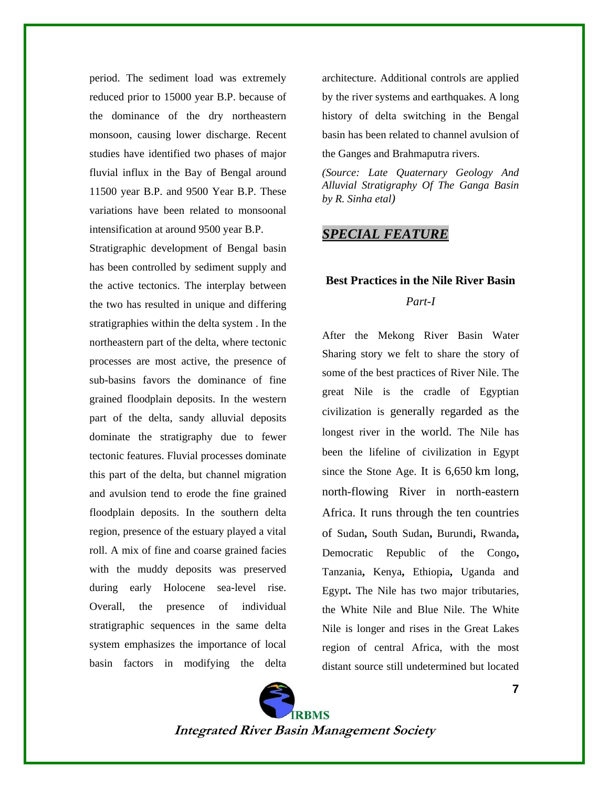period. The sediment load was extremely reduced prior to 15000 year B.P. because of the dominance of the dry northeastern monsoon, causing lower discharge. Recent studies have identified two phases of major fluvial influx in the Bay of Bengal around 11500 year B.P. and 9500 Year B.P. These variations have been related to monsoonal intensification at around 9500 year B.P.

Stratigraphic development of Bengal basin has been controlled by sediment supply and the active tectonics. The interplay between the two has resulted in unique and differing stratigraphies within the delta system . In the northeastern part of the delta, where tectonic processes are most active, the presence of sub-basins favors the dominance of fine grained floodplain deposits. In the western part of the delta, sandy alluvial deposits dominate the stratigraphy due to fewer tectonic features. Fluvial processes dominate this part of the delta, but channel migration and avulsion tend to erode the fine grained floodplain deposits. In the southern delta region, presence of the estuary played a vital roll. A mix of fine and coarse grained facies with the muddy deposits was preserved during early Holocene sea-level rise. Overall, the presence of individual stratigraphic sequences in the same delta system emphasizes the importance of local basin factors in modifying the delta

architecture. Additional controls are applied by the river systems and earthquakes. A long history of delta switching in the Bengal basin has been related to channel avulsion of the Ganges and Brahmaputra rivers.

*(Source: Late Quaternary Geology And Alluvial Stratigraphy Of The Ganga Basin by R. Sinha etal)* 

## *SPECIAL FEATURE*

## **Best Practices in the Nile River Basin**  *Part-I*

After the Mekong River Basin Water Sharing story we felt to share the story of some of the best practices of River Nile. The great Nile is the cradle of Egyptian civilization is generally regarded as the longest river in the world. The Nile has been the lifeline of civilization in Egypt since the Stone Age. It is 6,650 km long, north-flowing River in north-eastern Africa. It runs through the ten countries of Sudan**,** South Sudan**,** Burundi**,** Rwanda**,**  Democratic Republic of the Congo**,**  Tanzania**,** Kenya**,** Ethiopia**,** Uganda and Egypt**.** The Nile has two major tributaries, the White Nile and Blue Nile. The White Nile is longer and rises in the Great Lakes region of central Africa, with the most distant source still undetermined but located